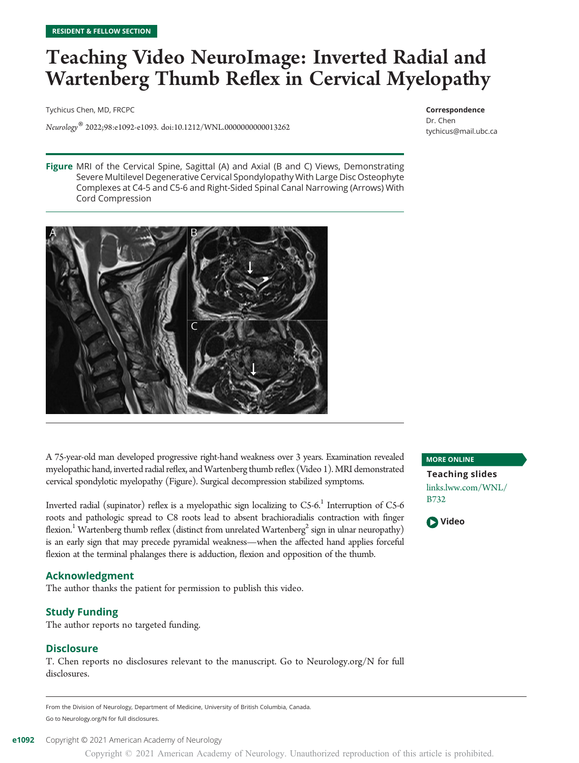## Teaching Video NeuroImage: Inverted Radial and Wartenberg Thumb Reflex in Cervical Myelopathy

Tychicus Chen, MD, FRCPC

Neurology® 2022;98:e1092-e1093. doi[:10.1212/WNL.0000000000013262](http://dx.doi.org/10.1212/WNL.0000000000013262)

Correspondence Dr. Chen [tychicus@mail.ubc.ca](mailto:tychicus@mail.ubc.ca)

Figure MRI of the Cervical Spine, Sagittal (A) and Axial (B and C) Views, Demonstrating Severe Multilevel Degenerative Cervical Spondylopathy With Large Disc Osteophyte Complexes at C4-5 and C5-6 and Right-Sided Spinal Canal Narrowing (Arrows) With Cord Compression



A 75-year-old man developed progressive right-hand weakness over 3 years. Examination revealed myelopathic hand, inverted radial reflex, andWartenberg thumb reflex (Video 1). MRI demonstrated cervical spondylotic myelopathy (Figure). Surgical decompression stabilized symptoms.

Inverted radial (supinator) reflex is a myelopathic sign localizing to  $C_5$ -6.<sup>1</sup> Interruption of  $C_5$ -6 roots and pathologic spread to C8 roots lead to absent brachioradialis contraction with finger flexion.<sup>1</sup> Wartenberg thumb reflex (distinct from unrelated Wartenberg<sup>2</sup> sign in ulnar neuropathy) is an early sign that may precede pyramidal weakness—when the affected hand applies forceful flexion at the terminal phalanges there is adduction, flexion and opposition of the thumb.

#### Acknowledgment

The author thanks the patient for permission to publish this video.

#### Study Funding

The author reports no targeted funding.

#### Disclosure

T. Chen reports no disclosures relevant to the manuscript. Go to [Neurology.org/N](https://n.neurology.org/lookup/doi/10.1212/WNL.0000000000013262) for full disclosures.

From the Division of Neurology, Department of Medicine, University of British Columbia, Canada. Go to [Neurology.org/N](https://n.neurology.org/lookup/doi/10.1212/WNL.0000000000013262) for full disclosures.

e1092 Copyright © 2021 American Academy of Neurology

Copyright © 2021 American Academy of Neurology. Unauthorized reproduction of this article is prohibited.

MORE ONLINE

Teaching slides [links.lww.com/WNL/](http://links.lww.com/WNL/B732) [B732](http://links.lww.com/WNL/B732)

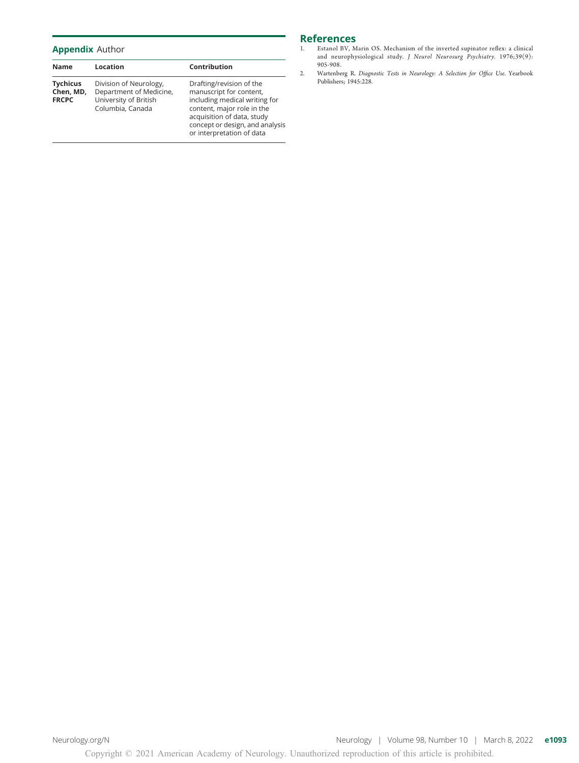#### Appendix Author

| Name                                         | Location                                                                                       | Contribution                                                                                                                                                                                                     |
|----------------------------------------------|------------------------------------------------------------------------------------------------|------------------------------------------------------------------------------------------------------------------------------------------------------------------------------------------------------------------|
| <b>Tychicus</b><br>Chen, MD,<br><b>FRCPC</b> | Division of Neurology,<br>Department of Medicine,<br>University of British<br>Columbia, Canada | Drafting/revision of the<br>manuscript for content,<br>including medical writing for<br>content, major role in the<br>acquisition of data, study<br>concept or design, and analysis<br>or interpretation of data |

### References<br>1. Estanol BV, M

- Estanol BV, Marin OS. Mechanism of the inverted supinator reflex: a clinical and neurophysiological study. J Neurol Neurosurg Psychiatry. 1976;39(9): 905-908.
- 2. Wartenberg R. Diagnostic Tests in Neurology: A Selection for Office Use. Yearbook Publishers; 1945:228.